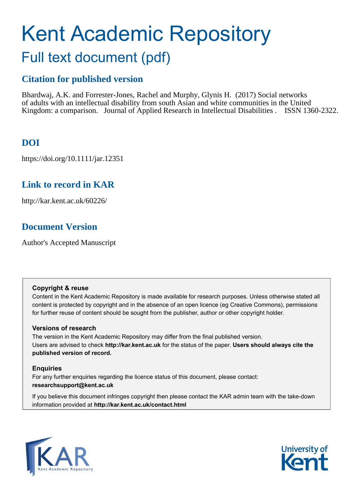# Kent Academic Repository Full text document (pdf)

# **Citation for published version**

Bhardwaj, A.K. and Forrester-Jones, Rachel and Murphy, Glynis H. (2017) Social networks of adults with an intellectual disability from south Asian and white communities in the United Kingdom: a comparison. Journal of Applied Research in Intellectual Disabilities . ISSN 1360-2322.

# **DOI**

https://doi.org/10.1111/jar.12351

# **Link to record in KAR**

http://kar.kent.ac.uk/60226/

# **Document Version**

Author's Accepted Manuscript

#### **Copyright & reuse**

Content in the Kent Academic Repository is made available for research purposes. Unless otherwise stated all content is protected by copyright and in the absence of an open licence (eg Creative Commons), permissions for further reuse of content should be sought from the publisher, author or other copyright holder.

#### **Versions of research**

The version in the Kent Academic Repository may differ from the final published version. Users are advised to check **http://kar.kent.ac.uk** for the status of the paper. **Users should always cite the published version of record.**

#### **Enquiries**

For any further enquiries regarding the licence status of this document, please contact: **researchsupport@kent.ac.uk**

If you believe this document infringes copyright then please contact the KAR admin team with the take-down information provided at **http://kar.kent.ac.uk/contact.html**



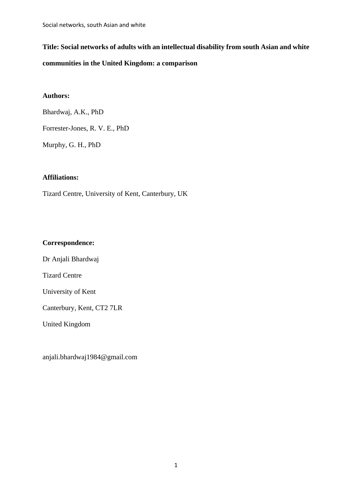# **Title: Social networks of adults with an intellectual disability from south Asian and white communities in the United Kingdom: a comparison**

### **Authors:**

Bhardwaj, A.K., PhD

Forrester-Jones, R. V. E., PhD

Murphy, G. H., PhD

#### **Affiliations:**

Tizard Centre, University of Kent, Canterbury, UK

#### **Correspondence:**

Dr Anjali Bhardwaj

Tizard Centre

University of Kent

Canterbury, Kent, CT2 7LR

United Kingdom

anjali.bhardwaj1984@gmail.com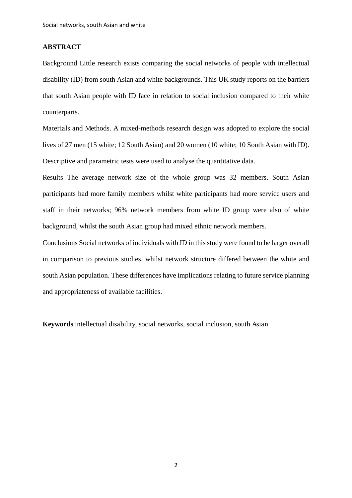#### **ABSTRACT**

Background Little research exists comparing the social networks of people with intellectual disability (ID) from south Asian and white backgrounds. This UK study reports on the barriers that south Asian people with ID face in relation to social inclusion compared to their white counterparts.

Materials and Methods. A mixed-methods research design was adopted to explore the social lives of 27 men (15 white; 12 South Asian) and 20 women (10 white; 10 South Asian with ID). Descriptive and parametric tests were used to analyse the quantitative data.

Results The average network size of the whole group was 32 members. South Asian participants had more family members whilst white participants had more service users and staff in their networks; 96% network members from white ID group were also of white background, whilst the south Asian group had mixed ethnic network members.

Conclusions Social networks of individuals with ID in this study were found to be larger overall in comparison to previous studies, whilst network structure differed between the white and south Asian population. These differences have implications relating to future service planning and appropriateness of available facilities.

**Keywords** intellectual disability, social networks, social inclusion, south Asian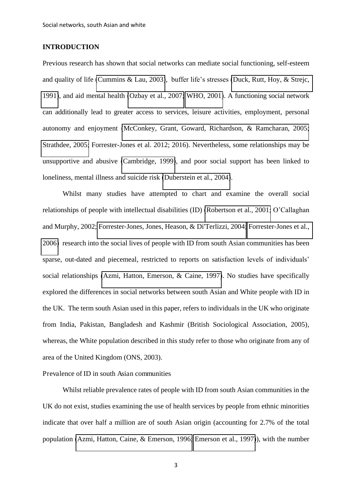#### **INTRODUCTION**

Previous research has shown that social networks can mediate social functioning, self-esteem and quality of life [\(Cummins & Lau, 2003\)](#page-34-0), buffer life's stresses [\(Duck, Rutt, Hoy, & Strejc,](#page-35-0)  [1991\)](#page-35-0), and aid mental health [\(Ozbay et al., 2007;](#page-37-0) [WHO, 2001\)](#page-38-0). A functioning social network can additionally lead to greater access to services, leisure activities, employment, personal autonomy and enjoyment [\(McConkey, Grant, Goward, Richardson, & Ramcharan, 2005;](#page-36-0) [Strathdee, 2005;](#page-37-1) Forrester-Jones et al. 2012; 2016). Nevertheless, some relationships may be unsupportive and abusive [\(Cambridge, 1999\)](#page-34-1), and poor social support has been linked to loneliness, mental illness and suicide risk [\(Duberstein et al., 2004\)](#page-35-1).

Whilst many studies have attempted to chart and examine the overall social relationships of people with intellectual disabilities (ID) [\(Robertson et al., 2001;](#page-37-2) O'Callaghan and Murphy, 2002; Forrester-[Jones, Jones, Heason, & Di'Terlizzi, 2004;](#page-35-2) Forrester-Jones et al., [2006\)](#page-35-3) research into the social lives of people with ID from south Asian communities has been sparse, out-dated and piecemeal, restricted to reports on satisfaction levels of individuals' social relationships [\(Azmi, Hatton, Emerson, & Caine, 1997\)](#page-34-2). No studies have specifically explored the differences in social networks between south Asian and White people with ID in the UK. The term south Asian used in this paper, refers to individuals in the UK who originate from India, Pakistan, Bangladesh and Kashmir (British Sociological Association, 2005), whereas, the White population described in this study refer to those who originate from any of area of the United Kingdom (ONS, 2003).

#### Prevalence of ID in south Asian communities

Whilst reliable prevalence rates of people with ID from south Asian communities in the UK do not exist, studies examining the use of health services by people from ethnic minorities indicate that over half a million are of south Asian origin (accounting for 2.7% of the total population [\(Azmi, Hatton, Caine, & Emerson, 1996;](#page-34-3) [Emerson et al., 1997\)](#page-35-4)), with the number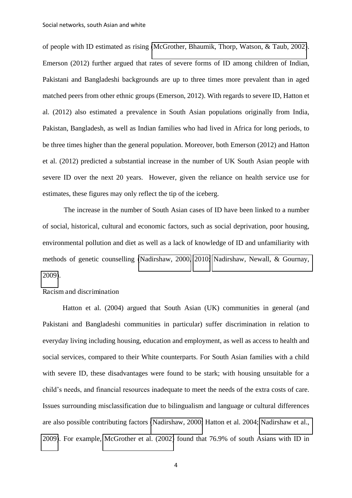of people with ID estimated as rising [\(McGrother, Bhaumik, Thorp, Watson, & Taub, 2002\)](#page-36-1). Emerson (2012) further argued that rates of severe forms of ID among children of Indian, Pakistani and Bangladeshi backgrounds are up to three times more prevalent than in aged matched peers from other ethnic groups (Emerson, 2012). With regards to severe ID, Hatton et al. (2012) also estimated a prevalence in South Asian populations originally from India, Pakistan, Bangladesh, as well as Indian families who had lived in Africa for long periods, to be three times higher than the general population. Moreover, both Emerson (2012) and Hatton et al. (2012) predicted a substantial increase in the number of UK South Asian people with severe ID over the next 20 years. However, given the reliance on health service use for estimates, these figures may only reflect the tip of the iceberg.

 The increase in the number of South Asian cases of ID have been linked to a number of social, historical, cultural and economic factors, such as social deprivation, poor housing, environmental pollution and diet as well as a lack of knowledge of ID and unfamiliarity with methods of genetic counselling [\(Nadirshaw, 2000,](#page-36-2) [2010;](#page-36-3) [Nadirshaw, Newall, & Gournay,](#page-36-4)  [2009\)](#page-36-4).

#### Racism and discrimination

Hatton et al. (2004) argued that South Asian (UK) communities in general (and Pakistani and Bangladeshi communities in particular) suffer discrimination in relation to everyday living including housing, education and employment, as well as access to health and social services, compared to their White counterparts. For South Asian families with a child with severe ID, these disadvantages were found to be stark; with housing unsuitable for a child's needs, and financial resources inadequate to meet the needs of the extra costs of care. Issues surrounding misclassification due to bilingualism and language or cultural differences are also possible contributing factors [\(Nadirshaw, 2000;](#page-36-2) Hatton et al. 2004; [Nadirshaw et al.,](#page-36-4)  [2009\)](#page-36-4). For example, [McGrother et al. \(2002\)](#page-36-1) found that 76.9% of south Asians with ID in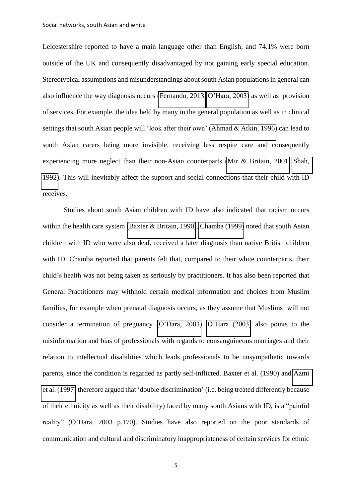Leicestershire reported to have a main language other than English, and 74.1% were born outside of the UK and consequently disadvantaged by not gaining early special education. Stereotypical assumptions and misunderstandings about south Asian populations in general can also influence the way diagnosis occurs [\(Fernando, 2013;](#page-35-5) [O'Hara, 2003](#page-36-5)) as well as provision of services. For example, the idea held by many in the general population as well as in clinical settings that south Asian people will 'look after their own' [\(Ahmad & Atkin, 1996\)](#page-34-4) can lead to south Asian carers being more invisible, receiving less respite care and consequently experiencing more neglect than their non-Asian counterparts [\(Mir & Britain, 2001;](#page-36-6) [Shah,](#page-37-3)  [1992\)](#page-37-3). This will inevitably affect the support and social connections that their child with ID receives.

 Studies about south Asian children with ID have also indicated that racism occurs within the health care system [\(Baxter & Britain, 1990\)](#page-34-5). [Chamba \(1999\)](#page-34-6) noted that south Asian children with ID who were also deaf, received a later diagnosis than native British children with ID. Chamba reported that parents felt that, compared to their white counterparts, their child's health was not being taken as seriously by practitioners. It has also been reported that General Practitioners may withhold certain medical information and choices from Muslim families, for example when prenatal diagnosis occurs, as they assume that Muslims will not consider a termination of pregnancy ([O'Hara, 2003](#page-36-5)). [O'Hara \(2003](#page-36-5)) also points to the misinformation and bias of professionals with regards to consanguineous marriages and their relation to intellectual disabilities which leads professionals to be unsympathetic towards parents, since the condition is regarded as partly self-inflicted. Baxter et al. (1990) and [Azmi](#page-34-2)  [et al. \(1997\)](#page-34-2) therefore argued that 'double discrimination' (i.e. being treated differently because of their ethnicity as well as their disability) faced by many south Asians with ID, is a "painful reality" (O'Hara, 2003 p.170). Studies have also reported on the poor standards of communication and cultural and discriminatory inappropriateness of certain services for ethnic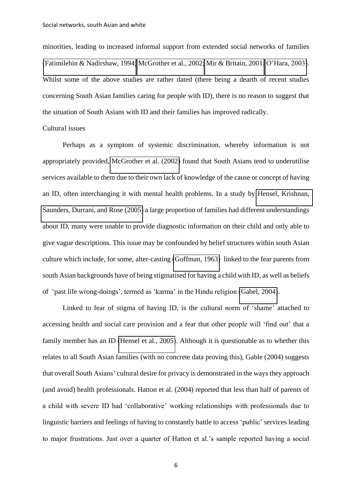minorities, leading to increased informal support from extended social networks of families [\(Fatimilehin & Nadirshaw, 1994;](#page-35-6) [McGrother et al., 2002;](#page-36-1) [Mir & Britain, 2001;](#page-36-6) [O'Hara, 2003](#page-36-5)). Whilst some of the above studies are rather dated (there being a dearth of recent studies concerning South Asian families caring for people with ID), there is no reason to suggest that the situation of South Asians with ID and their families has improved radically.

#### Cultural issues

Perhaps as a symptom of systemic discrimination, whereby information is not appropriately provided, [McGrother et al. \(2002\)](#page-36-1) found that South Asians tend to underutilise services available to them due to their own lack of knowledge of the cause or concept of having an ID, often interchanging it with mental health problems. In a study by [Hensel, Krishnan,](#page-36-7)  [Saunders, Durrani, and Rose \(2005\)](#page-36-7) a large proportion of families had different understandings about ID, many were unable to provide diagnostic information on their child and only able to give vague descriptions. This issue may be confounded by belief structures within south Asian culture which include, for some, alter-casting [\(Goffman, 1963\)](#page-35-7) linked to the fear parents from south Asian backgrounds have of being stigmatised for having a child with ID, as well as beliefs of 'past life wrong-doings', termed as 'karma' in the Hindu religion [\(Gabel, 2004\)](#page-35-8).

Linked to fear of stigma of having ID, is the cultural norm of 'shame' attached to accessing health and social care provision and a fear that other people will 'find out' that a family member has an ID [\(Hensel et al., 2005\)](#page-36-7). Although it is questionable as to whether this relates to all South Asian families (with no concrete data proving this), Gable (2004) suggests that overall South Asians' cultural desire for privacy is demonstrated in the ways they approach (and avoid) health professionals. Hatton et al. (2004) reported that less than half of parents of a child with severe ID had 'collaborative' working relationships with professionals due to linguistic barriers and feelings of having to constantly battle to access 'public' services leading to major frustrations. Just over a quarter of Hatton et al.'s sample reported having a social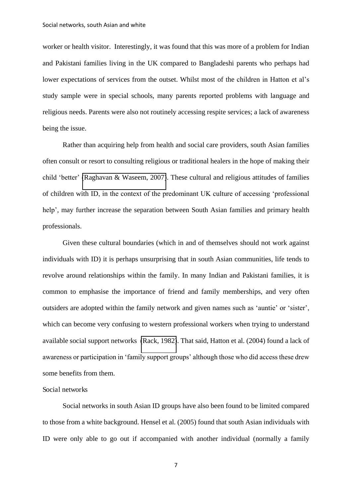worker or health visitor. Interestingly, it was found that this was more of a problem for Indian and Pakistani families living in the UK compared to Bangladeshi parents who perhaps had lower expectations of services from the outset. Whilst most of the children in Hatton et al's study sample were in special schools, many parents reported problems with language and religious needs. Parents were also not routinely accessing respite services; a lack of awareness being the issue.

Rather than acquiring help from health and social care providers, south Asian families often consult or resort to consulting religious or traditional healers in the hope of making their child 'better' [\(Raghavan & Waseem, 2007\)](#page-37-4). These cultural and religious attitudes of families of children with ID, in the context of the predominant UK culture of accessing 'professional help', may further increase the separation between South Asian families and primary health professionals.

Given these cultural boundaries (which in and of themselves should not work against individuals with ID) it is perhaps unsurprising that in south Asian communities, life tends to revolve around relationships within the family. In many Indian and Pakistani families, it is common to emphasise the importance of friend and family memberships, and very often outsiders are adopted within the family network and given names such as 'auntie' or 'sister', which can become very confusing to western professional workers when trying to understand available social support networks [\(Rack, 1982\)](#page-37-5). That said, Hatton et al. (2004) found a lack of awareness or participation in 'family support groups' although those who did access these drew some benefits from them.

#### Social networks

Social networks in south Asian ID groups have also been found to be limited compared to those from a white background. Hensel et al. (2005) found that south Asian individuals with ID were only able to go out if accompanied with another individual (normally a family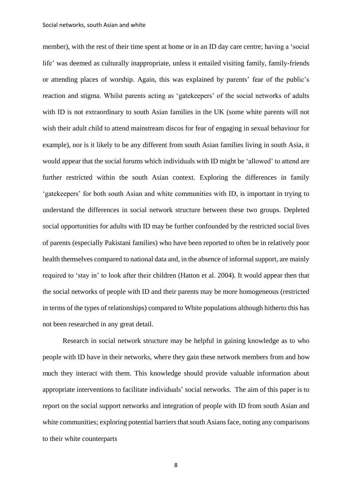member), with the rest of their time spent at home or in an ID day care centre; having a 'social life' was deemed as culturally inappropriate, unless it entailed visiting family, family-friends or attending places of worship. Again, this was explained by parents' fear of the public's reaction and stigma. Whilst parents acting as 'gatekeepers' of the social networks of adults with ID is not extraordinary to south Asian families in the UK (some white parents will not wish their adult child to attend mainstream discos for fear of engaging in sexual behaviour for example), nor is it likely to be any different from south Asian families living in south Asia, it would appear that the social forums which individuals with ID might be 'allowed' to attend are further restricted within the south Asian context. Exploring the differences in family 'gatekeepers' for both south Asian and white communities with ID, is important in trying to understand the differences in social network structure between these two groups. Depleted social opportunities for adults with ID may be further confounded by the restricted social lives of parents (especially Pakistani families) who have been reported to often be in relatively poor health themselves compared to national data and, in the absence of informal support, are mainly required to 'stay in' to look after their children (Hatton et al. 2004). It would appear then that the social networks of people with ID and their parents may be more homogeneous (restricted in terms of the types of relationships) compared to White populations although hitherto this has not been researched in any great detail.

Research in social network structure may be helpful in gaining knowledge as to who people with ID have in their networks, where they gain these network members from and how much they interact with them. This knowledge should provide valuable information about appropriate interventions to facilitate individuals' social networks. The aim of this paper is to report on the social support networks and integration of people with ID from south Asian and white communities; exploring potential barriers that south Asians face, noting any comparisons to their white counterparts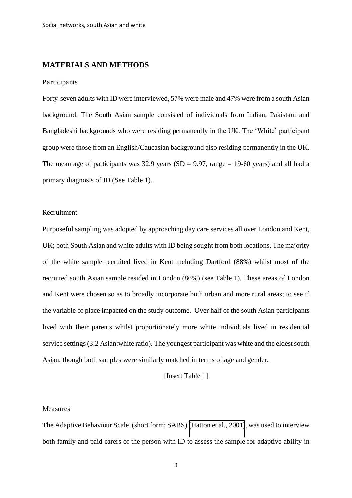#### **MATERIALS AND METHODS**

#### Participants

Forty-seven adults with ID were interviewed, 57% were male and 47% were from a south Asian background. The South Asian sample consisted of individuals from Indian, Pakistani and Bangladeshi backgrounds who were residing permanently in the UK. The 'White' participant group were those from an English/Caucasian background also residing permanently in the UK. The mean age of participants was 32.9 years (SD = 9.97, range = 19-60 years) and all had a primary diagnosis of ID (See Table 1).

#### Recruitment

Purposeful sampling was adopted by approaching day care services all over London and Kent, UK; both South Asian and white adults with ID being sought from both locations. The majority of the white sample recruited lived in Kent including Dartford (88%) whilst most of the recruited south Asian sample resided in London (86%) (see Table 1). These areas of London and Kent were chosen so as to broadly incorporate both urban and more rural areas; to see if the variable of place impacted on the study outcome. Over half of the south Asian participants lived with their parents whilst proportionately more white individuals lived in residential service settings (3:2 Asian:white ratio). The youngest participant was white and the eldest south Asian, though both samples were similarly matched in terms of age and gender.

#### [Insert Table 1]

#### Measures

The Adaptive Behaviour Scale (short form; SABS) [\(Hatton et al., 2001\)](#page-36-8), was used to interview both family and paid carers of the person with ID to assess the sample for adaptive ability in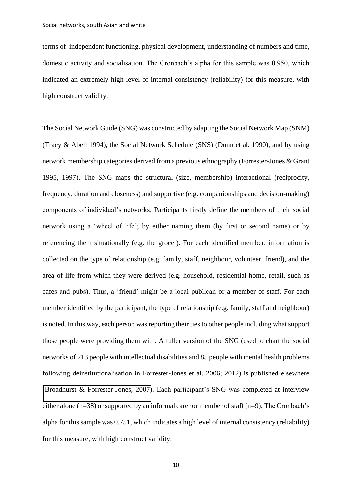terms of independent functioning, physical development, understanding of numbers and time, domestic activity and socialisation. The Cronbach's alpha for this sample was 0.950, which indicated an extremely high level of internal consistency (reliability) for this measure, with high construct validity.

The Social Network Guide (SNG) was constructed by adapting the Social Network Map (SNM) (Tracy & Abell 1994), the Social Network Schedule (SNS) (Dunn et al. 1990), and by using network membership categories derived from a previous ethnography (Forrester-Jones & Grant 1995, 1997). The SNG maps the structural (size, membership) interactional (reciprocity, frequency, duration and closeness) and supportive (e.g. companionships and decision-making) components of individual's networks. Participants firstly define the members of their social network using a 'wheel of life'; by either naming them (by first or second name) or by referencing them situationally (e.g. the grocer). For each identified member, information is collected on the type of relationship (e.g. family, staff, neighbour, volunteer, friend), and the area of life from which they were derived (e.g. household, residential home, retail, such as cafes and pubs). Thus, a 'friend' might be a local publican or a member of staff. For each member identified by the participant, the type of relationship (e.g. family, staff and neighbour) is noted. In this way, each person was reporting their ties to other people including what support those people were providing them with. A fuller version of the SNG (used to chart the social networks of 213 people with intellectual disabilities and 85 people with mental health problems following deinstitutionalisation in Forrester-Jones et al. 2006; 2012) is published elsewhere [\(Broadhurst & Forrester-Jones, 2007\)](#page-34-7). Each participant's SNG was completed at interview either alone (n=38) or supported by an informal carer or member of staff (n=9). The Cronbach's alpha for this sample was 0.751, which indicates a high level of internal consistency (reliability) for this measure, with high construct validity.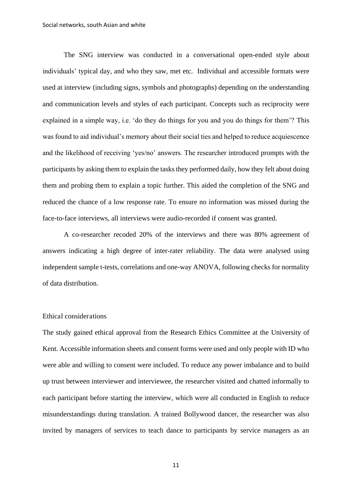The SNG interview was conducted in a conversational open-ended style about individuals' typical day, and who they saw, met etc. Individual and accessible formats were used at interview (including signs, symbols and photographs) depending on the understanding and communication levels and styles of each participant. Concepts such as reciprocity were explained in a simple way, i.e. 'do they do things for you and you do things for them'? This was found to aid individual's memory about their social ties and helped to reduce acquiescence and the likelihood of receiving 'yes/no' answers. The researcher introduced prompts with the participants by asking them to explain the tasks they performed daily, how they felt about doing them and probing them to explain a topic further. This aided the completion of the SNG and reduced the chance of a low response rate. To ensure no information was missed during the face-to-face interviews, all interviews were audio-recorded if consent was granted.

A co-researcher recoded 20% of the interviews and there was 80% agreement of answers indicating a high degree of inter-rater reliability. The data were analysed using independent sample t-tests, correlations and one-way ANOVA, following checks for normality of data distribution.

#### Ethical considerations

The study gained ethical approval from the Research Ethics Committee at the University of Kent. Accessible information sheets and consent forms were used and only people with ID who were able and willing to consent were included. To reduce any power imbalance and to build up trust between interviewer and interviewee, the researcher visited and chatted informally to each participant before starting the interview, which were all conducted in English to reduce misunderstandings during translation. A trained Bollywood dancer, the researcher was also invited by managers of services to teach dance to participants by service managers as an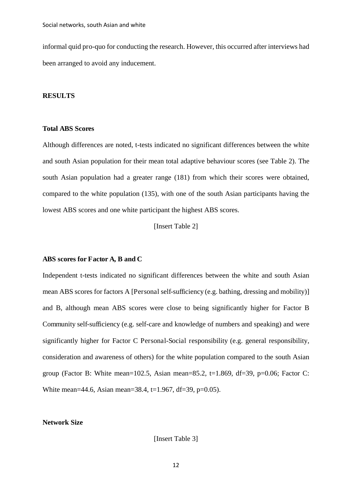informal quid pro-quo for conducting the research. However, this occurred after interviews had been arranged to avoid any inducement.

#### **RESULTS**

#### **Total ABS Scores**

Although differences are noted, t-tests indicated no significant differences between the white and south Asian population for their mean total adaptive behaviour scores (see Table 2). The south Asian population had a greater range (181) from which their scores were obtained, compared to the white population (135), with one of the south Asian participants having the lowest ABS scores and one white participant the highest ABS scores.

[Insert Table 2]

#### **ABS scores for Factor A, B and C**

Independent t-tests indicated no significant differences between the white and south Asian mean ABS scores for factors A [Personal self-sufficiency (e.g. bathing, dressing and mobility)] and B, although mean ABS scores were close to being significantly higher for Factor B Community self-sufficiency (e.g. self-care and knowledge of numbers and speaking) and were significantly higher for Factor C Personal-Social responsibility (e.g. general responsibility, consideration and awareness of others) for the white population compared to the south Asian group (Factor B: White mean=102.5, Asian mean=85.2, t=1.869, df=39, p=0.06; Factor C: White mean=44.6, Asian mean=38.4, t=1.967, df=39, p=0.05).

#### **Network Size**

[Insert Table 3]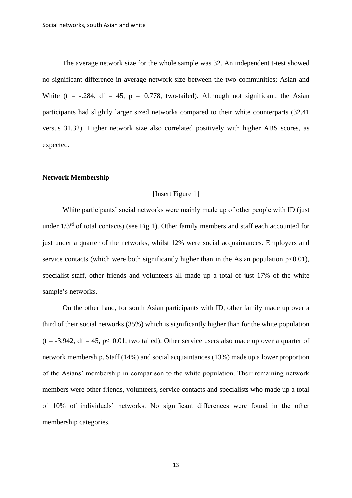The average network size for the whole sample was 32. An independent t-test showed no significant difference in average network size between the two communities; Asian and White (t =  $-.284$ , df = 45, p = 0.778, two-tailed). Although not significant, the Asian participants had slightly larger sized networks compared to their white counterparts (32.41 versus 31.32). Higher network size also correlated positively with higher ABS scores, as expected.

#### **Network Membership**

#### [Insert Figure 1]

White participants' social networks were mainly made up of other people with ID (just under  $1/3<sup>rd</sup>$  of total contacts) (see Fig 1). Other family members and staff each accounted for just under a quarter of the networks, whilst 12% were social acquaintances. Employers and service contacts (which were both significantly higher than in the Asian population  $p<0.01$ ), specialist staff, other friends and volunteers all made up a total of just 17% of the white sample's networks.

On the other hand, for south Asian participants with ID, other family made up over a third of their social networks (35%) which is significantly higher than for the white population  $(t = -3.942, df = 45, p < 0.01$ , two tailed). Other service users also made up over a quarter of network membership. Staff (14%) and social acquaintances (13%) made up a lower proportion of the Asians' membership in comparison to the white population. Their remaining network members were other friends, volunteers, service contacts and specialists who made up a total of 10% of individuals' networks. No significant differences were found in the other membership categories.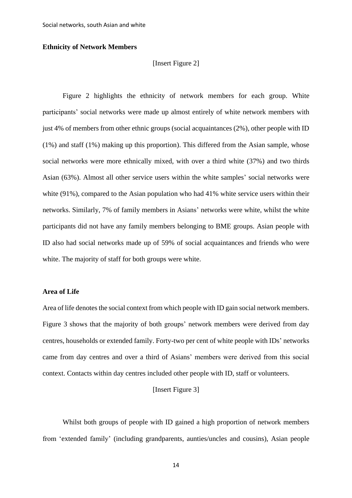#### **Ethnicity of Network Members**

#### [Insert Figure 2]

Figure 2 highlights the ethnicity of network members for each group. White participants' social networks were made up almost entirely of white network members with just 4% of members from other ethnic groups (social acquaintances (2%), other people with ID (1%) and staff (1%) making up this proportion). This differed from the Asian sample, whose social networks were more ethnically mixed, with over a third white (37%) and two thirds Asian (63%). Almost all other service users within the white samples' social networks were white (91%), compared to the Asian population who had 41% white service users within their networks. Similarly, 7% of family members in Asians' networks were white, whilst the white participants did not have any family members belonging to BME groups. Asian people with ID also had social networks made up of 59% of social acquaintances and friends who were white. The majority of staff for both groups were white.

#### **Area of Life**

Area of life denotes the social context from which people with ID gain social network members. Figure 3 shows that the majority of both groups' network members were derived from day centres, households or extended family. Forty-two per cent of white people with IDs' networks came from day centres and over a third of Asians' members were derived from this social context. Contacts within day centres included other people with ID, staff or volunteers.

#### [Insert Figure 3]

Whilst both groups of people with ID gained a high proportion of network members from 'extended family' (including grandparents, aunties/uncles and cousins), Asian people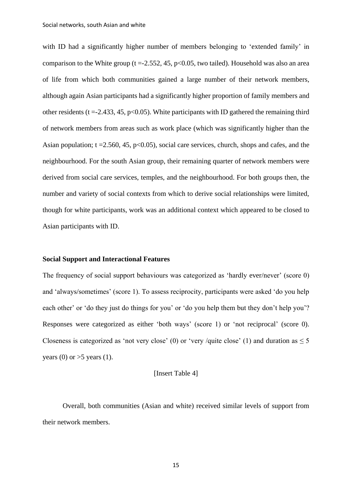with ID had a significantly higher number of members belonging to 'extended family' in comparison to the White group (t = -2.552, 45,  $p<0.05$ , two tailed). Household was also an area of life from which both communities gained a large number of their network members, although again Asian participants had a significantly higher proportion of family members and other residents ( $t = -2.433, 45, p < 0.05$ ). White participants with ID gathered the remaining third of network members from areas such as work place (which was significantly higher than the Asian population;  $t = 2.560, 45, p < 0.05$ , social care services, church, shops and cafes, and the neighbourhood. For the south Asian group, their remaining quarter of network members were derived from social care services, temples, and the neighbourhood. For both groups then, the number and variety of social contexts from which to derive social relationships were limited, though for white participants, work was an additional context which appeared to be closed to Asian participants with ID.

#### **Social Support and Interactional Features**

The frequency of social support behaviours was categorized as 'hardly ever/never' (score 0) and 'always/sometimes' (score 1). To assess reciprocity, participants were asked 'do you help each other' or 'do they just do things for you' or 'do you help them but they don't help you'? Responses were categorized as either 'both ways' (score 1) or 'not reciprocal' (score 0). Closeness is categorized as 'not very close' (0) or 'very /quite close' (1) and duration as  $\leq 5$ years (0) or  $>5$  years (1).

[Insert Table 4]

Overall, both communities (Asian and white) received similar levels of support from their network members.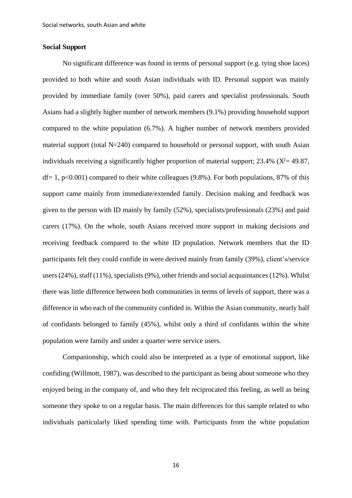#### **Social Support**

No significant difference was found in terms of personal support (e.g. tying shoe laces) provided to both white and south Asian individuals with ID. Personal support was mainly provided by immediate family (over 50%), paid carers and specialist professionals. South Asians had a slightly higher number of network members (9.1%) providing household support compared to the white population (6.7%). A higher number of network members provided material support (total N=240) compared to household or personal support, with south Asian individuals receiving a significantly higher proportion of material support;  $23.4\%$  ( $X^2 = 49.87$ ,  $df= 1$ , p<0.001) compared to their white colleagues (9.8%). For both populations, 87% of this support came mainly from immediate/extended family. Decision making and feedback was given to the person with ID mainly by family (52%), specialists/professionals (23%) and paid carers (17%). On the whole, south Asians received more support in making decisions and receiving feedback compared to the white ID population. Network members that the ID participants felt they could confide in were derived mainly from family (39%), client's/service users (24%), staff (11%), specialists (9%), other friends and social acquaintances (12%). Whilst there was little difference between both communities in terms of levels of support, there was a difference in who each of the community confided in. Within the Asian community, nearly half of confidants belonged to family (45%), whilst only a third of confidants within the white population were family and under a quarter were service users.

Companionship, which could also be interpreted as a type of emotional support, like confiding (Willmott, 1987), was described to the participant as being about someone who they enjoyed being in the company of, and who they felt reciprocated this feeling, as well as being someone they spoke to on a regular basis. The main differences for this sample related to who individuals particularly liked spending time with. Participants from the white population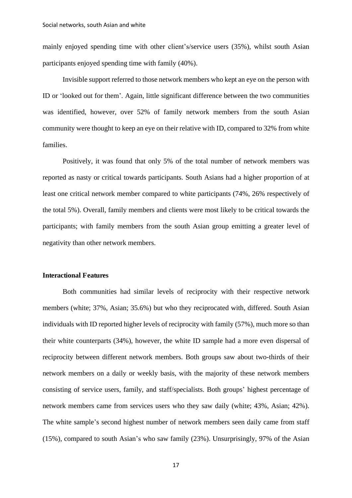mainly enjoyed spending time with other client's/service users (35%), whilst south Asian participants enjoyed spending time with family (40%).

Invisible support referred to those network members who kept an eye on the person with ID or 'looked out for them'. Again, little significant difference between the two communities was identified, however, over 52% of family network members from the south Asian community were thought to keep an eye on their relative with ID, compared to 32% from white families.

Positively, it was found that only 5% of the total number of network members was reported as nasty or critical towards participants. South Asians had a higher proportion of at least one critical network member compared to white participants (74%, 26% respectively of the total 5%). Overall, family members and clients were most likely to be critical towards the participants; with family members from the south Asian group emitting a greater level of negativity than other network members.

#### **Interactional Features**

Both communities had similar levels of reciprocity with their respective network members (white; 37%, Asian; 35.6%) but who they reciprocated with, differed. South Asian individuals with ID reported higher levels of reciprocity with family (57%), much more so than their white counterparts (34%), however, the white ID sample had a more even dispersal of reciprocity between different network members. Both groups saw about two-thirds of their network members on a daily or weekly basis, with the majority of these network members consisting of service users, family, and staff/specialists. Both groups' highest percentage of network members came from services users who they saw daily (white; 43%, Asian; 42%). The white sample's second highest number of network members seen daily came from staff (15%), compared to south Asian's who saw family (23%). Unsurprisingly, 97% of the Asian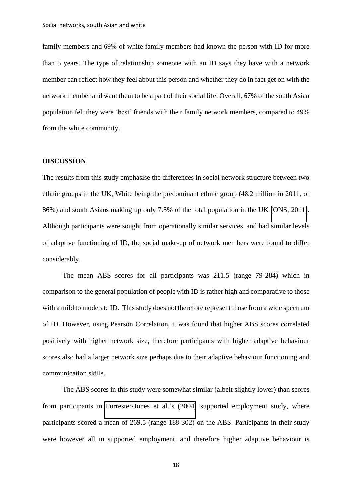family members and 69% of white family members had known the person with ID for more than 5 years. The type of relationship someone with an ID says they have with a network member can reflect how they feel about this person and whether they do in fact get on with the network member and want them to be a part of their social life. Overall, 67% of the south Asian population felt they were 'best' friends with their family network members, compared to 49% from the white community.

#### **DISCUSSION**

The results from this study emphasise the differences in social network structure between two ethnic groups in the UK, White being the predominant ethnic group (48.2 million in 2011, or 86%) and south Asians making up only 7.5% of the total population in the UK [\(ONS, 2011\)](#page-37-6). Although participants were sought from operationally similar services, and had similar levels of adaptive functioning of ID, the social make-up of network members were found to differ considerably.

The mean ABS scores for all participants was 211.5 (range 79-284) which in comparison to the general population of people with ID is rather high and comparative to those with a mild to moderate ID. This study does not therefore represent those from a wide spectrum of ID. However, using Pearson Correlation, it was found that higher ABS scores correlated positively with higher network size, therefore participants with higher adaptive behaviour scores also had a larger network size perhaps due to their adaptive behaviour functioning and communication skills.

The ABS scores in this study were somewhat similar (albeit slightly lower) than scores from participants in Forrester-[Jones et al.](#page-35-2)'s (2004) supported employment study, where participants scored a mean of 269.5 (range 188-302) on the ABS. Participants in their study were however all in supported employment, and therefore higher adaptive behaviour is

18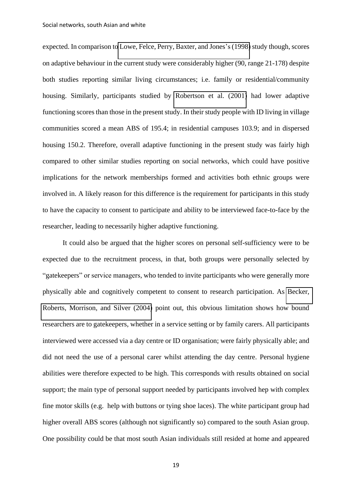expected. In comparison to [Lowe, Felce, Perry, Baxter, and Jones](#page-36-9)'s (1998) study though, scores on adaptive behaviour in the current study were considerably higher (90, range 21-178) despite both studies reporting similar living circumstances; i.e. family or residential/community housing. Similarly, participants studied by [Robertson et al. \(2001\)](#page-37-2) had lower adaptive functioning scores than those in the present study. In their study people with ID living in village communities scored a mean ABS of 195.4; in residential campuses 103.9; and in dispersed housing 150.2. Therefore, overall adaptive functioning in the present study was fairly high compared to other similar studies reporting on social networks, which could have positive implications for the network memberships formed and activities both ethnic groups were involved in. A likely reason for this difference is the requirement for participants in this study to have the capacity to consent to participate and ability to be interviewed face-to-face by the researcher, leading to necessarily higher adaptive functioning.

It could also be argued that the higher scores on personal self-sufficiency were to be expected due to the recruitment process, in that, both groups were personally selected by "gatekeepers" or service managers, who tended to invite participants who were generally more physically able and cognitively competent to consent to research participation. As [Becker,](#page-34-8)  [Roberts, Morrison, and Silver \(2004\)](#page-34-8) point out, this obvious limitation shows how bound researchers are to gatekeepers, whether in a service setting or by family carers. All participants interviewed were accessed via a day centre or ID organisation; were fairly physically able; and did not need the use of a personal carer whilst attending the day centre. Personal hygiene abilities were therefore expected to be high. This corresponds with results obtained on social support; the main type of personal support needed by participants involved hep with complex fine motor skills (e.g. help with buttons or tying shoe laces). The white participant group had higher overall ABS scores (although not significantly so) compared to the south Asian group. One possibility could be that most south Asian individuals still resided at home and appeared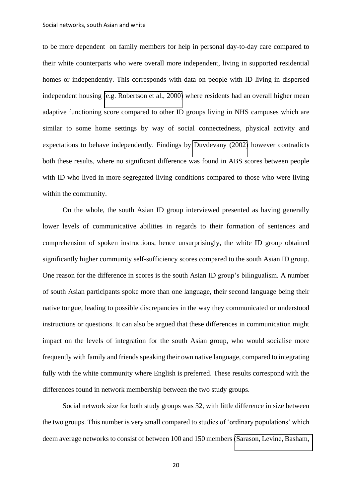to be more dependent on family members for help in personal day-to-day care compared to their white counterparts who were overall more independent, living in supported residential homes or independently. This corresponds with data on people with ID living in dispersed independent housing [\(e.g. Robertson et al., 2000\)](#page-37-7) where residents had an overall higher mean adaptive functioning score compared to other ID groups living in NHS campuses which are similar to some home settings by way of social connectedness, physical activity and expectations to behave independently. Findings by [Duvdevany \(2002\)](#page-35-9) however contradicts both these results, where no significant difference was found in ABS scores between people with ID who lived in more segregated living conditions compared to those who were living within the community.

On the whole, the south Asian ID group interviewed presented as having generally lower levels of communicative abilities in regards to their formation of sentences and comprehension of spoken instructions, hence unsurprisingly, the white ID group obtained significantly higher community self-sufficiency scores compared to the south Asian ID group. One reason for the difference in scores is the south Asian ID group's bilingualism. A number of south Asian participants spoke more than one language, their second language being their native tongue, leading to possible discrepancies in the way they communicated or understood instructions or questions. It can also be argued that these differences in communication might impact on the levels of integration for the south Asian group, who would socialise more frequently with family and friends speaking their own native language, compared to integrating fully with the white community where English is preferred. These results correspond with the differences found in network membership between the two study groups.

Social network size for both study groups was 32, with little difference in size between the two groups. This number is very small compared to studies of 'ordinary populations' which deem average networks to consist of between 100 and 150 members [\(Sarason, Levine, Basham,](#page-37-8) 

20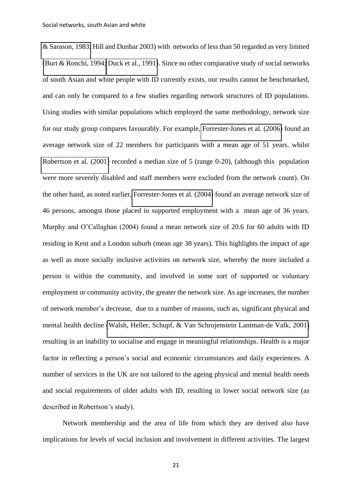[& Sarason, 1983;](#page-37-8) Hill and Dunbar 2003) with networks of less than 50 regarded as very limited [\(Burt & Ronchi, 1994;](#page-34-9) [Duck et al., 1991\)](#page-35-0). Since no other comparative study of social networks of south Asian and white people with ID currently exists, our results cannot be benchmarked, and can only be compared to a few studies regarding network structures of ID populations. Using studies with similar populations which employed the same methodology, network size for our study group compares favourably. For example, Forrester-[Jones et al. \(2006\)](#page-35-3) found an average network size of 22 members for participants with a mean age of 51 years. whilst [Robertson et al. \(2001\)](#page-37-2) recorded a median size of 5 (range 0-20), (although this population were more severely disabled and staff members were excluded from the network count). On the other hand, as noted earlier, Forrester-[Jones et al. \(2004\)](#page-35-2) found an average network size of 46 persons, amongst those placed in supported employment with a mean age of 36 years. Murphy and O'Callaghan (2004) found a mean network size of 20.6 for 60 adults with ID residing in Kent and a London suburb (mean age 38 years). This highlights the impact of age as well as more socially inclusive activities on network size, whereby the more included a person is within the community, and involved in some sort of supported or voluntary employment or community activity, the greater the network size. As age increases, the number of network member's decrease, due to a number of reasons, such as, significant physical and mental health decline [\(Walsh, Heller, Schupf, & Van Schrojenstein Lantman](#page-37-9)-de Valk, 2001) resulting in an inability to socialise and engage in meaningful relationships. Health is a major factor in reflecting a person's social and economic circumstances and daily experiences. A number of services in the UK are not tailored to the ageing physical and mental health needs and social requirements of older adults with ID, resulting in lower social network size (as described in Robertson's study).

Network membership and the area of life from which they are derived also have implications for levels of social inclusion and involvement in different activities. The largest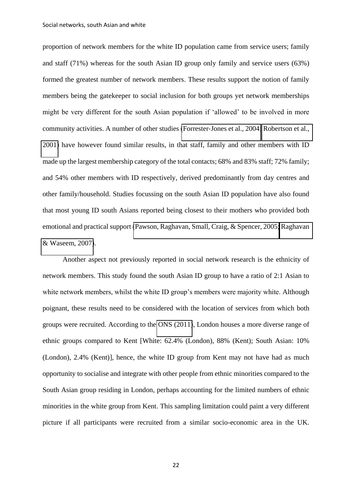proportion of network members for the white ID population came from service users; family and staff (71%) whereas for the south Asian ID group only family and service users (63%) formed the greatest number of network members. These results support the notion of family members being the gatekeeper to social inclusion for both groups yet network memberships might be very different for the south Asian population if 'allowed' to be involved in more community activities. A number of other studies (Forrester-[Jones et al., 2004;](#page-35-2) Robertson et al., [2001\)](#page-37-2) have however found similar results, in that staff, family and other members with ID made up the largest membership category of the total contacts; 68% and 83% staff; 72% family; and 54% other members with ID respectively, derived predominantly from day centres and other family/household. Studies focussing on the south Asian ID population have also found that most young ID south Asians reported being closest to their mothers who provided both emotional and practical support [\(Pawson, Raghavan, Small, Craig, & Spencer, 2005;](#page-37-10) [Raghavan](#page-37-4)  [& Waseem, 2007\)](#page-37-4).

Another aspect not previously reported in social network research is the ethnicity of network members. This study found the south Asian ID group to have a ratio of 2:1 Asian to white network members, whilst the white ID group's members were majority white. Although poignant, these results need to be considered with the location of services from which both groups were recruited. According to the [ONS \(2011\)](#page-37-6), London houses a more diverse range of ethnic groups compared to Kent [White: 62.4% (London), 88% (Kent); South Asian: 10% (London), 2.4% (Kent)], hence, the white ID group from Kent may not have had as much opportunity to socialise and integrate with other people from ethnic minorities compared to the South Asian group residing in London, perhaps accounting for the limited numbers of ethnic minorities in the white group from Kent. This sampling limitation could paint a very different picture if all participants were recruited from a similar socio-economic area in the UK.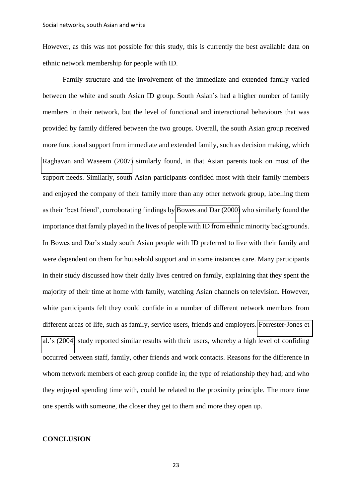However, as this was not possible for this study, this is currently the best available data on ethnic network membership for people with ID.

Family structure and the involvement of the immediate and extended family varied between the white and south Asian ID group. South Asian's had a higher number of family members in their network, but the level of functional and interactional behaviours that was provided by family differed between the two groups. Overall, the south Asian group received more functional support from immediate and extended family, such as decision making, which [Raghavan and Waseem \(2007\)](#page-37-4) similarly found, in that Asian parents took on most of the support needs. Similarly, south Asian participants confided most with their family members and enjoyed the company of their family more than any other network group, labelling them as their 'best friend', corroborating findings by [Bowes and Dar \(2000\)](#page-34-10) who similarly found the importance that family played in the lives of people with ID from ethnic minority backgrounds. In Bowes and Dar's study south Asian people with ID preferred to live with their family and were dependent on them for household support and in some instances care. Many participants in their study discussed how their daily lives centred on family, explaining that they spent the majority of their time at home with family, watching Asian channels on television. However, white participants felt they could confide in a number of different network members from different areas of life, such as family, service users, friends and employers. [Forrester](#page-35-2)-Jones et al.'s [\(2004\)](#page-35-2) study reported similar results with their users, whereby a high level of confiding occurred between staff, family, other friends and work contacts. Reasons for the difference in whom network members of each group confide in; the type of relationship they had; and who they enjoyed spending time with, could be related to the proximity principle. The more time one spends with someone, the closer they get to them and more they open up.

#### **CONCLUSION**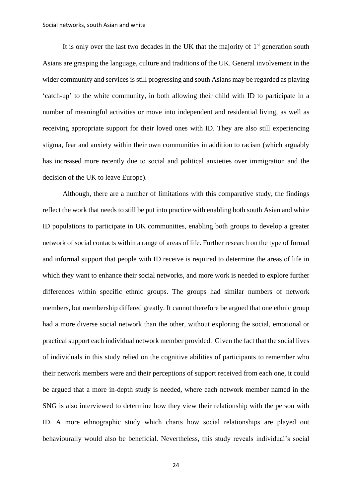It is only over the last two decades in the UK that the majority of  $1<sup>st</sup>$  generation south Asians are grasping the language, culture and traditions of the UK. General involvement in the wider community and services is still progressing and south Asians may be regarded as playing 'catch-up' to the white community, in both allowing their child with ID to participate in a number of meaningful activities or move into independent and residential living, as well as receiving appropriate support for their loved ones with ID. They are also still experiencing stigma, fear and anxiety within their own communities in addition to racism (which arguably has increased more recently due to social and political anxieties over immigration and the decision of the UK to leave Europe).

Although, there are a number of limitations with this comparative study, the findings reflect the work that needs to still be put into practice with enabling both south Asian and white ID populations to participate in UK communities, enabling both groups to develop a greater network of social contacts within a range of areas of life. Further research on the type of formal and informal support that people with ID receive is required to determine the areas of life in which they want to enhance their social networks, and more work is needed to explore further differences within specific ethnic groups. The groups had similar numbers of network members, but membership differed greatly. It cannot therefore be argued that one ethnic group had a more diverse social network than the other, without exploring the social, emotional or practical support each individual network member provided. Given the fact that the social lives of individuals in this study relied on the cognitive abilities of participants to remember who their network members were and their perceptions of support received from each one, it could be argued that a more in-depth study is needed, where each network member named in the SNG is also interviewed to determine how they view their relationship with the person with ID. A more ethnographic study which charts how social relationships are played out behaviourally would also be beneficial. Nevertheless, this study reveals individual's social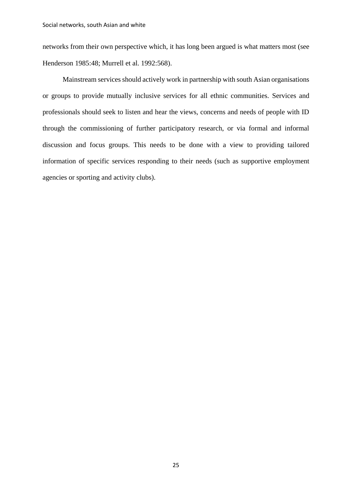networks from their own perspective which, it has long been argued is what matters most (see Henderson 1985:48; Murrell et al. 1992:568).

Mainstream services should actively work in partnership with south Asian organisations or groups to provide mutually inclusive services for all ethnic communities. Services and professionals should seek to listen and hear the views, concerns and needs of people with ID through the commissioning of further participatory research, or via formal and informal discussion and focus groups. This needs to be done with a view to providing tailored information of specific services responding to their needs (such as supportive employment agencies or sporting and activity clubs).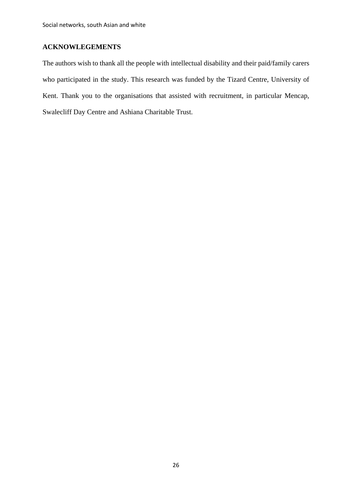## **ACKNOWLEGEMENTS**

The authors wish to thank all the people with intellectual disability and their paid/family carers who participated in the study. This research was funded by the Tizard Centre, University of Kent. Thank you to the organisations that assisted with recruitment, in particular Mencap, Swalecliff Day Centre and Ashiana Charitable Trust.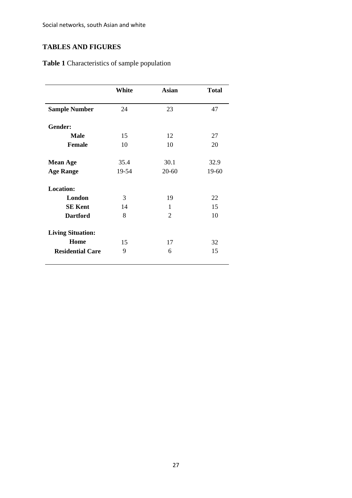Social networks, south Asian and white

## **TABLES AND FIGURES**

**Table 1** Characteristics of sample population

|                          | White | <b>Asian</b>   | <b>Total</b> |
|--------------------------|-------|----------------|--------------|
|                          |       |                |              |
| <b>Sample Number</b>     | 24    | 23             | 47           |
| Gender:                  |       |                |              |
| <b>Male</b>              | 15    | 12             | 27           |
| <b>Female</b>            | 10    | 10             | 20           |
| <b>Mean Age</b>          | 35.4  | 30.1           | 32.9         |
| <b>Age Range</b>         | 19-54 | $20 - 60$      | 19-60        |
| <b>Location:</b>         |       |                |              |
| London                   | 3     | 19             | 22           |
| <b>SE Kent</b>           | 14    | 1              | 15           |
| <b>Dartford</b>          | 8     | $\overline{2}$ | 10           |
| <b>Living Situation:</b> |       |                |              |
| Home                     | 15    | 17             | 32           |
| <b>Residential Care</b>  | 9     | 6              | 15           |
|                          |       |                |              |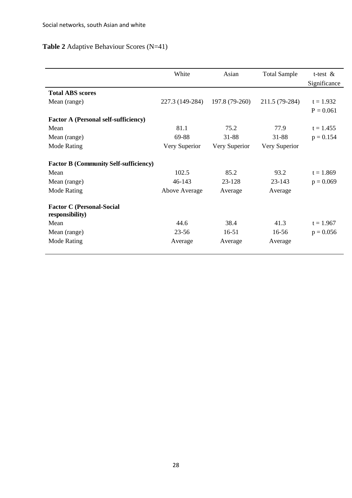## **Table 2** Adaptive Behaviour Scores (N=41)

|                                                     | White           | Asian          | <b>Total Sample</b> | t-test $\&$  |
|-----------------------------------------------------|-----------------|----------------|---------------------|--------------|
|                                                     |                 |                |                     | Significance |
| <b>Total ABS scores</b>                             |                 |                |                     |              |
| Mean (range)                                        | 227.3 (149-284) | 197.8 (79-260) | 211.5 (79-284)      | $t = 1.932$  |
|                                                     |                 |                |                     | $P = 0.061$  |
| <b>Factor A (Personal self-sufficiency)</b>         |                 |                |                     |              |
| Mean                                                | 81.1            | 75.2           | 77.9                | $t = 1.455$  |
| Mean (range)                                        | 69-88           | 31-88          | 31-88               | $p = 0.154$  |
| Mode Rating                                         | Very Superior   | Very Superior  | Very Superior       |              |
|                                                     |                 |                |                     |              |
| <b>Factor B (Community Self-sufficiency)</b>        |                 |                |                     |              |
| Mean                                                | 102.5           | 85.2           | 93.2                | $t = 1.869$  |
| Mean (range)                                        | 46-143          | 23-128         | 23-143              | $p = 0.069$  |
| Mode Rating                                         | Above Average   | Average        | Average             |              |
|                                                     |                 |                |                     |              |
| <b>Factor C (Personal-Social</b><br>responsibility) |                 |                |                     |              |
| Mean                                                | 44.6            | 38.4           | 41.3                | $t = 1.967$  |
| Mean (range)                                        | $23 - 56$       | $16 - 51$      | 16-56               | $p = 0.056$  |
| Mode Rating                                         | Average         | Average        | Average             |              |
|                                                     |                 |                |                     |              |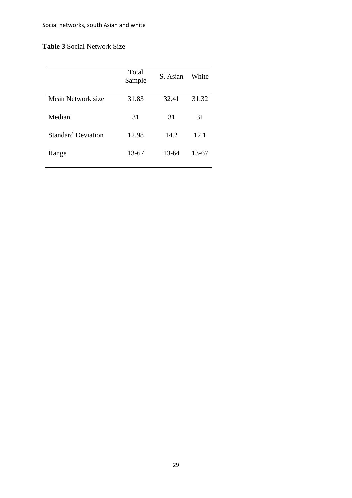## **Table 3** Social Network Size

|                           | Total<br>Sample | S. Asian | White     |
|---------------------------|-----------------|----------|-----------|
| Mean Network size         | 31.83           | 32.41    | 31.32     |
| Median                    | 31              | 31       | 31        |
| <b>Standard Deviation</b> | 12.98           | 14.2     | 12.1      |
| Range                     | 13-67           | 13-64    | $13 - 67$ |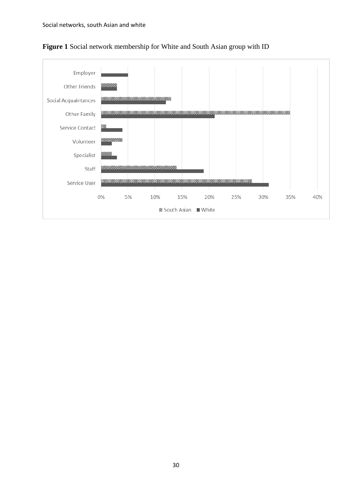

**Figure 1** Social network membership for White and South Asian group with ID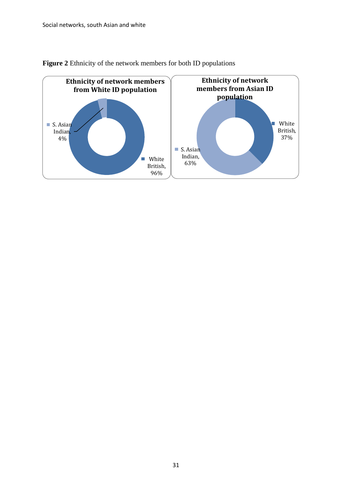

**Figure 2** Ethnicity of the network members for both ID populations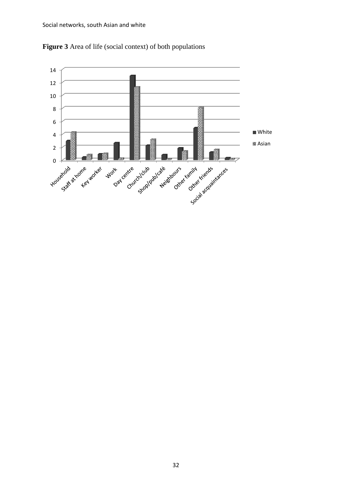

**Figure 3** Area of life (social context) of both populations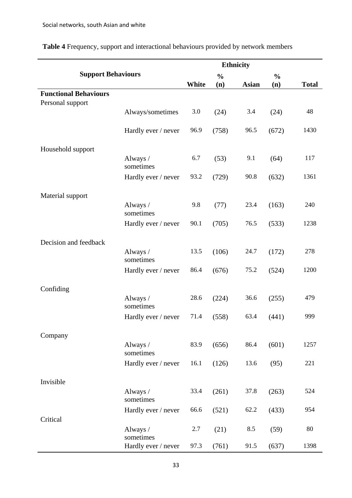| <b>Support Behaviours</b>                        |                       | <b>Ethnicity</b> |               |              |               |              |
|--------------------------------------------------|-----------------------|------------------|---------------|--------------|---------------|--------------|
|                                                  |                       |                  | $\frac{0}{0}$ |              | $\frac{0}{0}$ |              |
|                                                  |                       | White            | (n)           | <b>Asian</b> | (n)           | <b>Total</b> |
| <b>Functional Behaviours</b><br>Personal support |                       |                  |               |              |               |              |
|                                                  | Always/sometimes      | 3.0              | (24)          | 3.4          | (24)          | 48           |
|                                                  |                       |                  |               |              |               |              |
|                                                  | Hardly ever / never   | 96.9             | (758)         | 96.5         | (672)         | 1430         |
| Household support                                |                       |                  |               |              |               |              |
|                                                  | Always /<br>sometimes | 6.7              | (53)          | 9.1          | (64)          | 117          |
|                                                  | Hardly ever / never   | 93.2             | (729)         | 90.8         | (632)         | 1361         |
| Material support                                 |                       |                  |               |              |               |              |
|                                                  | Always /<br>sometimes | 9.8              | (77)          | 23.4         | (163)         | 240          |
|                                                  | Hardly ever / never   | 90.1             | (705)         | 76.5         | (533)         | 1238         |
| Decision and feedback                            |                       |                  |               |              |               |              |
|                                                  | Always /<br>sometimes | 13.5             | (106)         | 24.7         | (172)         | 278          |
|                                                  | Hardly ever / never   | 86.4             | (676)         | 75.2         | (524)         | 1200         |
| Confiding                                        |                       |                  |               |              |               |              |
|                                                  | Always /<br>sometimes | 28.6             | (224)         | 36.6         | (255)         | 479          |
|                                                  | Hardly ever / never   | 71.4             | (558)         | 63.4         | (441)         | 999          |
| Company                                          |                       |                  |               |              |               |              |
|                                                  | Always /<br>sometimes | 83.9             | (656)         | 86.4         | (601)         | 1257         |
|                                                  | Hardly ever / never   | 16.1             | (126)         | 13.6         | (95)          | 221          |
| Invisible                                        |                       |                  |               |              |               |              |
|                                                  | Always /<br>sometimes | 33.4             | (261)         | 37.8         | (263)         | 524          |
|                                                  | Hardly ever / never   | 66.6             | (521)         | 62.2         | (433)         | 954          |
| Critical                                         |                       |                  |               |              |               |              |
|                                                  | Always /<br>sometimes | 2.7              | (21)          | 8.5          | (59)          | 80           |
|                                                  | Hardly ever / never   | 97.3             | (761)         | 91.5         | (637)         | 1398         |

**Table 4** Frequency, support and interactional behaviours provided by network members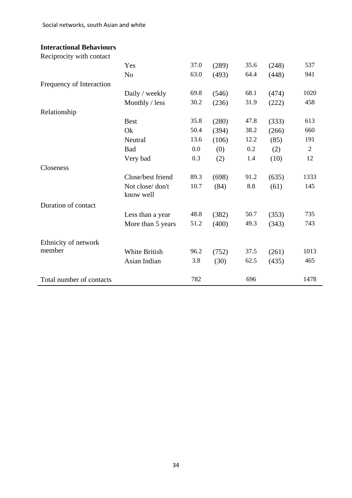Social networks, south Asian and white

## **Interactional Behaviours**

Reciprocity with contact

<span id="page-34-10"></span><span id="page-34-9"></span><span id="page-34-8"></span><span id="page-34-7"></span><span id="page-34-6"></span><span id="page-34-5"></span><span id="page-34-4"></span><span id="page-34-3"></span><span id="page-34-2"></span><span id="page-34-1"></span><span id="page-34-0"></span>

| Yes                          | 37.0 | (289) | 35.6    | (248) | 537          |
|------------------------------|------|-------|---------|-------|--------------|
| N <sub>0</sub>               | 63.0 | (493) | 64.4    | (448) | 941          |
|                              |      |       |         |       |              |
| Daily / weekly               | 69.8 | (546) | 68.1    | (474) | 1020         |
| Monthly / less               | 30.2 | (236) | 31.9    | (222) | 458          |
|                              |      |       |         |       |              |
| <b>Best</b>                  | 35.8 | (280) | 47.8    | (333) | 613          |
| Ok                           | 50.4 | (394) | 38.2    | (266) | 660          |
| Neutral                      | 13.6 | (106) | 12.2    | (85)  | 191          |
| <b>Bad</b>                   | 0.0  | (0)   | $0.2\,$ | (2)   | $\mathbf{2}$ |
| Very bad                     | 0.3  | (2)   | 1.4     | (10)  | 12           |
|                              |      |       |         |       |              |
| Close/best friend            | 89.3 | (698) | 91.2    | (635) | 1333         |
| Not close/don't<br>know well | 10.7 | (84)  | 8.8     | (61)  | 145          |
|                              |      |       |         |       |              |
| Less than a year             | 48.8 | (382) | 50.7    | (353) | 735          |
| More than 5 years            | 51.2 | (400) | 49.3    | (343) | 743          |
|                              |      |       |         |       |              |
| <b>White British</b>         | 96.2 | (752) | 37.5    | (261) | 1013         |
| Asian Indian                 | 3.8  | (30)  | 62.5    | (435) | 465          |
|                              | 782  |       | 696     |       | 1478         |
|                              |      |       |         |       |              |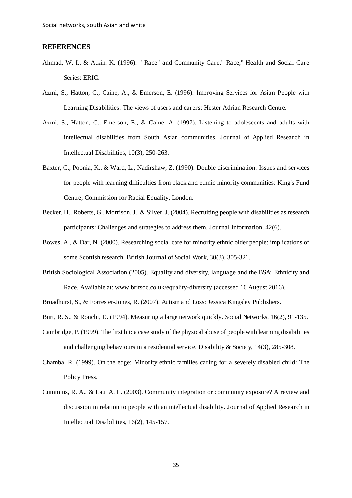#### <span id="page-35-1"></span>**REFERENCES**

- Ahmad, W. I., & Atkin, K. (1996). " Race" and Community Care." Race," Health and Social Care Series: ERIC.
- <span id="page-35-0"></span>Azmi, S., Hatton, C., Caine, A., & Emerson, E. (1996). Improving Services for Asian People with Learning Disabilities: The views of users and carers: Hester Adrian Research Centre.
- <span id="page-35-9"></span>Azmi, S., Hatton, C., Emerson, E., & Caine, A. (1997). Listening to adolescents and adults with intellectual disabilities from South Asian communities. Journal of Applied Research in Intellectual Disabilities, 10(3), 250-263.
- <span id="page-35-4"></span>Baxter, C., Poonia, K., & Ward, L., Nadirshaw, Z. (1990). Double discrimination: Issues and services for people with learning difficulties from black and ethnic minority communities: King's Fund Centre; Commission for Racial Equality, London.
- Becker, H., Roberts, G., Morrison, J., & Silver, J. (2004). Recruiting people with disabilities as research participants: Challenges and strategies to address them. Journal Information, 42(6).
- <span id="page-35-6"></span>Bowes, A., & Dar, N. (2000). Researching social care for minority ethnic older people: implications of some Scottish research. British Journal of Social Work, 30(3), 305-321.
- <span id="page-35-5"></span>British Sociological Association (2005). Equality and diversity, language and the BSA: Ethnicity and Race. Available at: www.britsoc.co.uk/equality-diversity (accessed 10 August 2016).

Broadhurst, S., & Forrester-Jones, R. (2007). Autism and Loss: Jessica Kingsley Publishers.

- <span id="page-35-3"></span>Burt, R. S., & Ronchi, D. (1994). Measuring a large network quickly. Social Networks, 16(2), 91-135.
- Cambridge, P. (1999). The first hit: a case study of the physical abuse of people with learning disabilities and challenging behaviours in a residential service. Disability & Society, 14(3), 285-308.
- <span id="page-35-2"></span>Chamba, R. (1999). On the edge: Minority ethnic families caring for a severely disabled child: The Policy Press.
- <span id="page-35-8"></span><span id="page-35-7"></span>Cummins, R. A., & Lau, A. L. (2003). Community integration or community exposure? A review and discussion in relation to people with an intellectual disability. Journal of Applied Research in Intellectual Disabilities, 16(2), 145-157.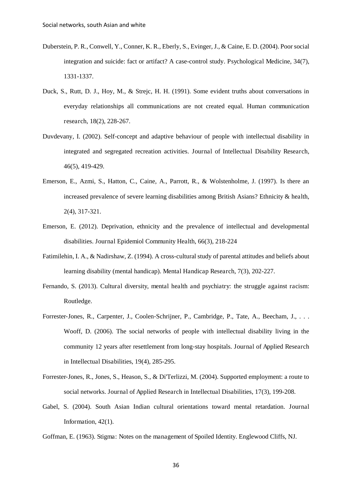- <span id="page-36-8"></span>Duberstein, P. R., Conwell, Y., Conner, K. R., Eberly, S., Evinger, J., & Caine, E. D. (2004). Poor social integration and suicide: fact or artifact? A case-control study. Psychological Medicine, 34(7), 1331-1337.
- <span id="page-36-7"></span>Duck, S., Rutt, D. J., Hoy, M., & Strejc, H. H. (1991). Some evident truths about conversations in everyday relationships all communications are not created equal. Human communication research, 18(2), 228-267.
- <span id="page-36-9"></span>Duvdevany, I. (2002). Self-concept and adaptive behaviour of people with intellectual disability in integrated and segregated recreation activities. Journal of Intellectual Disability Research, 46(5), 419-429.
- <span id="page-36-0"></span>Emerson, E., Azmi, S., Hatton, C., Caine, A., Parrott, R., & Wolstenholme, J. (1997). Is there an increased prevalence of severe learning disabilities among British Asians? Ethnicity & health, 2(4), 317-321.
- <span id="page-36-1"></span>Emerson, E. (2012). Deprivation, ethnicity and the prevalence of intellectual and developmental disabilities. Journal Epidemiol Community Health, 66(3), 218-224
- <span id="page-36-6"></span>Fatimilehin, I. A., & Nadirshaw, Z. (1994). A cross-cultural study of parental attitudes and beliefs about learning disability (mental handicap). Mental Handicap Research, 7(3), 202-227.
- Fernando, S. (2013). Cultural diversity, mental health and psychiatry: the struggle against racism: Routledge.
- Forrester-Jones, R., Carpenter, J., Coolen-Schrijner, P., Cambridge, P., Tate, A., Beecham, J., . . . Wooff, D. (2006). The social networks of people with intellectual disability living in the community 12 years after resettlement from long-stay hospitals. Journal of Applied Research in Intellectual Disabilities, 19(4), 285-295.
- <span id="page-36-3"></span><span id="page-36-2"></span>Forrester-Jones, R., Jones, S., Heason, S., & Di'Terlizzi, M. (2004). Supported employment: a route to social networks. Journal of Applied Research in Intellectual Disabilities, 17(3), 199-208.
- <span id="page-36-4"></span>Gabel, S. (2004). South Asian Indian cultural orientations toward mental retardation. Journal Information, 42(1).
- <span id="page-36-5"></span>Goffman, E. (1963). Stigma: Notes on the management of Spoiled Identity. Englewood Cliffs, NJ.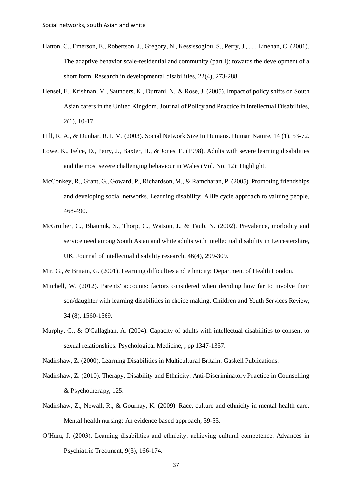- Hatton, C., Emerson, E., Robertson, J., Gregory, N., Kessissoglou, S., Perry, J., . . . Linehan, C. (2001). The adaptive behavior scale-residential and community (part I): towards the development of a short form. Research in developmental disabilities, 22(4), 273-288.
- <span id="page-37-6"></span><span id="page-37-0"></span>Hensel, E., Krishnan, M., Saunders, K., Durrani, N., & Rose, J. (2005). Impact of policy shifts on South Asian carers in the United Kingdom. Journal of Policy and Practice in Intellectual Disabilities, 2(1), 10-17.
- <span id="page-37-10"></span>Hill, R. A., & Dunbar, R. I. M. (2003). Social Network Size In Humans. Human Nature, 14 (1), 53-72.
- Lowe, K., Felce, D., Perry, J., Baxter, H., & Jones, E. (1998). Adults with severe learning disabilities and the most severe challenging behaviour in Wales (Vol. No. 12): Highlight.
- <span id="page-37-5"></span><span id="page-37-4"></span>McConkey, R., Grant, G., Goward, P., Richardson, M., & Ramcharan, P. (2005). Promoting friendships and developing social networks. Learning disability: A life cycle approach to valuing people, 468-490.
- <span id="page-37-2"></span>McGrother, C., Bhaumik, S., Thorp, C., Watson, J., & Taub, N. (2002). Prevalence, morbidity and service need among South Asian and white adults with intellectual disability in Leicestershire, UK. Journal of intellectual disability research, 46(4), 299-309.

Mir, G., & Britain, G. (2001). Learning difficulties and ethnicity: Department of Health London.

- <span id="page-37-7"></span>Mitchell, W. (2012). Parents' accounts: factors considered when deciding how far to involve their son/daughter with learning disabilities in choice making. Children and Youth Services Review, 34 (8), 1560-1569.
- <span id="page-37-8"></span>Murphy, G., & O'Callaghan, A. (2004). Capacity of adults with intellectual disabilities to consent to sexual relationships. Psychological Medicine, , pp 1347-1357.

<span id="page-37-3"></span>Nadirshaw, Z. (2000). Learning Disabilities in Multicultural Britain: Gaskell Publications.

- <span id="page-37-1"></span>Nadirshaw, Z. (2010). Therapy, Disability and Ethnicity. Anti-Discriminatory Practice in Counselling & Psychotherapy, 125.
- <span id="page-37-9"></span>Nadirshaw, Z., Newall, R., & Gournay, K. (2009). Race, culture and ethnicity in mental health care. Mental health nursing: An evidence based approach, 39-55.
- O'Hara, J. (2003). Learning disabilities and ethnicity: achieving cultural competence. Advances in Psychiatric Treatment, 9(3), 166-174.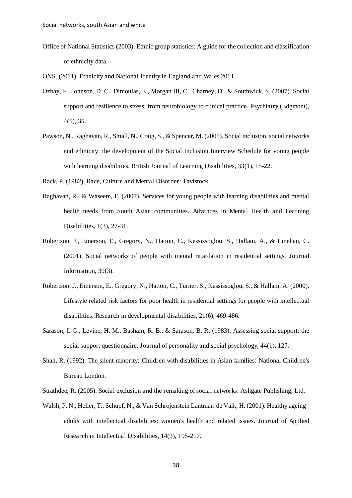- <span id="page-38-0"></span>Office of National Statistics (2003). Ethnic group statistics: A guide for the collection and classification of ethnicity data.
- ONS. (2011). Ethnicity and National Identity in England and Wales 2011.
- Ozbay, F., Johnson, D. C., Dimoulas, E., Morgan III, C., Charney, D., & Southwick, S. (2007). Social support and resilience to stress: from neurobiology to clinical practice. Psychiatry (Edgmont), 4(5), 35.
- Pawson, N., Raghavan, R., Small, N., Craig, S., & Spencer, M. (2005). Social inclusion, social networks and ethnicity: the development of the Social Inclusion Interview Schedule for young people with learning disabilities. British Journal of Learning Disabilities, 33(1), 15-22.
- Rack, P. (1982). Race, Culture and Mental Disorder: Tavistock.
- Raghavan, R., & Waseem, F. (2007). Services for young people with learning disabilities and mental health needs from South Asian communities. Advances in Mental Health and Learning Disabilities, 1(3), 27-31.
- Robertson, J., Emerson, E., Gregory, N., Hatton, C., Kessissoglou, S., Hallam, A., & Linehan, C. (2001). Social networks of people with mental retardation in residential settings. Journal Information, 39(3).
- Robertson, J., Emerson, E., Gregory, N., Hatton, C., Turner, S., Kessissoglou, S., & Hallam, A. (2000). Lifestyle related risk factors for poor health in residential settings for people with intellectual disabilities. Research in developmental disabilities, 21(6), 469-486.
- Sarason, I. G., Levine, H. M., Basham, R. B., & Sarason, B. R. (1983). Assessing social support: the social support questionnaire. Journal of personality and social psychology, 44(1), 127.
- Shah, R. (1992). The silent minority: Children with disabilities in Asian families: National Children's Bureau London.
- Strathdee, R. (2005). Social exclusion and the remaking of social networks: Ashgate Publishing, Ltd.
- Walsh, P. N., Heller, T., Schupf, N., & Van Schrojenstein Lantman-de Valk, H. (2001). Healthy ageing– adults with intellectual disabilities: women's health and related issues. Journal of Applied Research in Intellectual Disabilities, 14(3), 195-217.